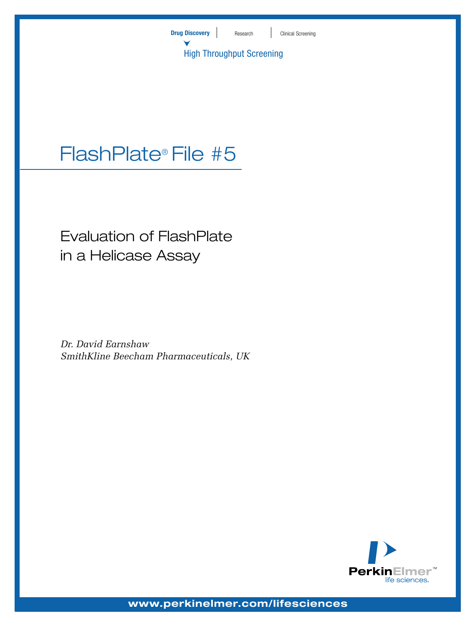

# FlashPlate® File #5

# Evaluation of FlashPlate in a Helicase Assay

*Dr. David Earnshaw SmithKline Beecham Pharmaceuticals, UK*



**www.perkinelmer.com/lifesciences**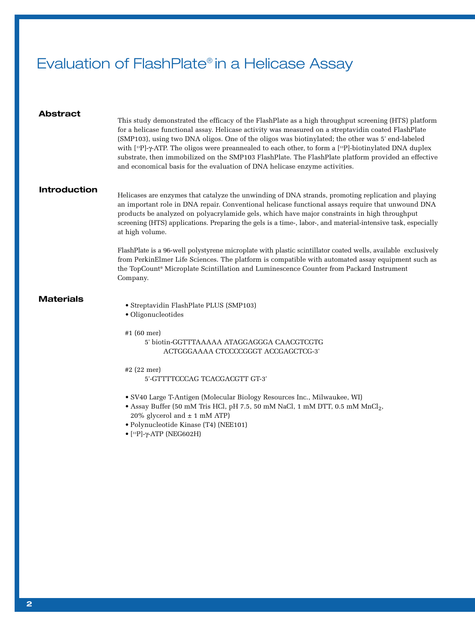# Evaluation of FlashPlate® in a Helicase Assay

| Abstract            | This study demonstrated the efficacy of the FlashPlate as a high throughput screening (HTS) platform<br>for a helicase functional assay. Helicase activity was measured on a streptavidin coated FlashPlate<br>(SMP103), using two DNA oligos. One of the oligos was biotinylated; the other was 5' end-labeled<br>with [33P]- $\gamma$ -ATP. The oligos were preannealed to each other, to form a [33P]-biotinylated DNA duplex<br>substrate, then immobilized on the SMP103 FlashPlate. The FlashPlate platform provided an effective<br>and economical basis for the evaluation of DNA helicase enzyme activities. |
|---------------------|-----------------------------------------------------------------------------------------------------------------------------------------------------------------------------------------------------------------------------------------------------------------------------------------------------------------------------------------------------------------------------------------------------------------------------------------------------------------------------------------------------------------------------------------------------------------------------------------------------------------------|
| <b>Introduction</b> | Helicases are enzymes that catalyze the unwinding of DNA strands, promoting replication and playing<br>an important role in DNA repair. Conventional helicase functional assays require that unwound DNA<br>products be analyzed on polyacrylamide gels, which have major constraints in high throughput<br>screening (HTS) applications. Preparing the gels is a time-, labor-, and material-intensive task, especially<br>at high volume.                                                                                                                                                                           |
|                     | FlashPlate is a 96-well polystyrene microplate with plastic scintillator coated wells, available exclusively<br>from PerkinElmer Life Sciences. The platform is compatible with automated assay equipment such as<br>the TopCount® Microplate Scintillation and Luminescence Counter from Packard Instrument<br>Company.                                                                                                                                                                                                                                                                                              |
| Materials           | • Streptavidin FlashPlate PLUS (SMP103)<br>· Oligonucleotides<br>#1 $(60$ mer)<br>5' biotin-GGTTTAAAAA ATAGGAGGGA CAACGTCGTG<br>ACTGGGAAAA CTCCCCGGGT ACCGAGCTCG-3'                                                                                                                                                                                                                                                                                                                                                                                                                                                   |
|                     | #2 $(22$ mer)<br>5'-GTTTTCCCAG TCACGACGTT GT-3'                                                                                                                                                                                                                                                                                                                                                                                                                                                                                                                                                                       |
|                     | • SV40 Large T-Antigen (Molecular Biology Resources Inc., Milwaukee, WI)<br>• Assay Buffer (50 mM Tris HCl, pH 7.5, 50 mM NaCl, 1 mM DTT, 0.5 mM MnCl <sub>2</sub> ,<br>20% glycerol and $\pm$ 1 mM ATP)<br>· Polynucleotide Kinase (T4) (NEE101)<br>$\bullet$ [33P]- $\gamma$ -ATP (NEG602H)                                                                                                                                                                                                                                                                                                                         |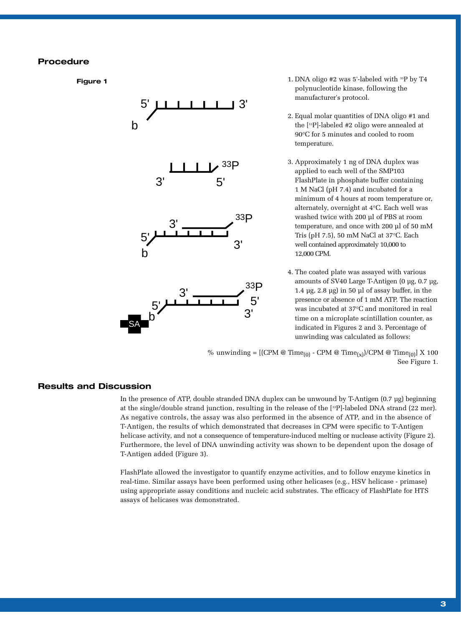## **Procedure**

**Figure 1**



- 1. DNA oligo #2 was 5'-labeled with 33P by T4 polynucleotide kinase, following the manufacturer's protocol.
- 2. Equal molar quantities of DNA oligo #1 and the [33P]-labeled #2 oligo were annealed at 90°C for 5 minutes and cooled to room temperature.
- 3. Approximately 1 ng of DNA duplex was applied to each well of the SMP103 FlashPlate in phosphate buffer containing 1 M NaCl (pH 7.4) and incubated for a minimum of 4 hours at room temperature or, alternately, overnight at 4°C. Each well was washed twice with 200 µl of PBS at room temperature, and once with 200 µl of 50 mM Tris (pH 7.5), 50 mM NaCl at 37°C. Each well contained approximately 10,000 to 12,000 CPM.
- 4. The coated plate was assayed with various amounts of SV40 Large T-Antigen (0 µg, 0.7 µg, 1.4 µg, 2.8 µg) in 50 µl of assay buffer, in the presence or absence of 1 mM ATP. The reaction was incubated at 37°C and monitored in real time on a microplate scintillation counter, as indicated in Figures 2 and 3. Percentage of unwinding was calculated as follows:

% unwinding =  $[(CPM @ Time_{(0)} - CPM @ Time_{(x)})/CPM @ Time_{(0)}] X 100$ See Figure 1.

### **Results and Discussion**

In the presence of ATP, double stranded DNA duplex can be unwound by T-Antigen (0.7 µg) beginning at the single/double strand junction, resulting in the release of the [33P]-labeled DNA strand (22 mer). As negative controls, the assay was also performed in the absence of ATP, and in the absence of T-Antigen, the results of which demonstrated that decreases in CPM were specific to T-Antigen helicase activity, and not a consequence of temperature-induced melting or nuclease activity (Figure 2). Furthermore, the level of DNA unwinding activity was shown to be dependent upon the dosage of T-Antigen added (Figure 3).

FlashPlate allowed the investigator to quantify enzyme activities, and to follow enzyme kinetics in real-time. Similar assays have been performed using other helicases (e.g., HSV helicase - primase) using appropriate assay conditions and nucleic acid substrates. The efficacy of FlashPlate for HTS assays of helicases was demonstrated.